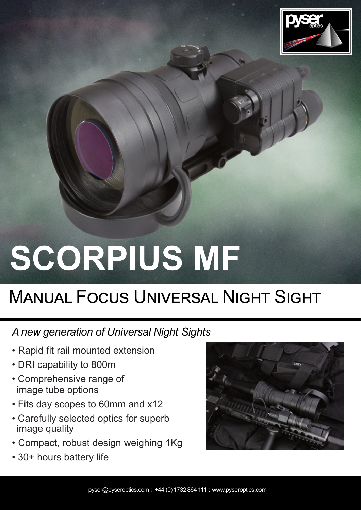

## SCORPIUS MF

## **MANUAL FOCUS UNIVERSAL NIGHT SIGHT**

## A new generation of Universal Night Sights

- Rapid fit rail mounted extension
- DRI capability to 800m
- Comprehensive range of image tube options
- Fits day scopes to 60mm and x12
- Carefully selected optics for superb image quality
- Compact, robust design weighing 1Kg
- 30+ hours battery life